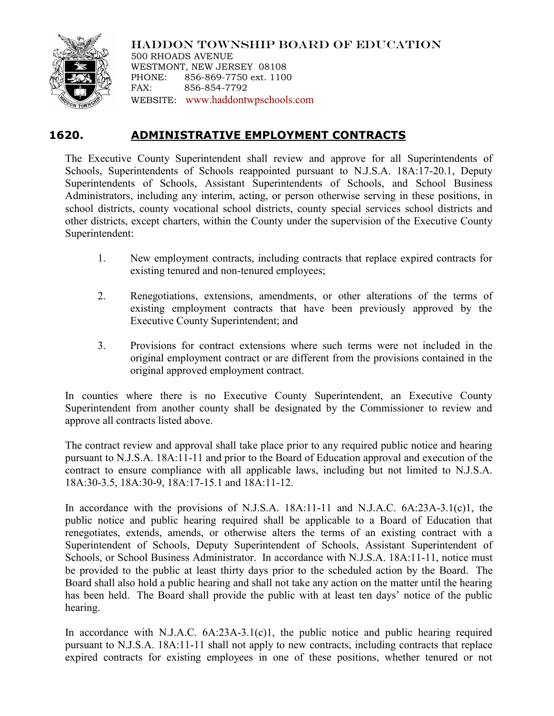

HADDON TOWNSHIP BOARD OF EDUCATION 500 RHOADS AVENUE WESTMONT, NEW JERSEY 08108 PHONE: 856-869-7750 ext. 1100 FAX: 856-854-7792 WEBSITE: [www.haddontwpschools.com](http://www.haddontwpschools.com/)

## **1620. ADMINISTRATIVE EMPLOYMENT CONTRACTS**

The Executive County Superintendent shall review and approve for all Superintendents of Schools, Superintendents of Schools reappointed pursuant to N.J.S.A. 18A:17-20.1, Deputy Superintendents of Schools, Assistant Superintendents of Schools, and School Business Administrators, including any interim, acting, or person otherwise serving in these positions, in school districts, county vocational school districts, county special services school districts and other districts, except charters, within the County under the supervision of the Executive County Superintendent:

- 1. New employment contracts, including contracts that replace expired contracts for existing tenured and non-tenured employees;
- 2. Renegotiations, extensions, amendments, or other alterations of the terms of existing employment contracts that have been previously approved by the Executive County Superintendent; and
- 3. Provisions for contract extensions where such terms were not included in the original employment contract or are different from the provisions contained in the original approved employment contract.

In counties where there is no Executive County Superintendent, an Executive County Superintendent from another county shall be designated by the Commissioner to review and approve all contracts listed above.

The contract review and approval shall take place prior to any required public notice and hearing pursuant to N.J.S.A. 18A:11-11 and prior to the Board of Education approval and execution of the contract to ensure compliance with all applicable laws, including but not limited to N.J.S.A. 18A:30-3.5, 18A:30-9, 18A:17-15.1 and 18A:11-12.

In accordance with the provisions of N.J.S.A. 18A:11-11 and N.J.A.C. 6A:23A-3.1(c)1, the public notice and public hearing required shall be applicable to a Board of Education that renegotiates, extends, amends, or otherwise alters the terms of an existing contract with a Superintendent of Schools, Deputy Superintendent of Schools, Assistant Superintendent of Schools, or School Business Administrator. In accordance with N.J.S.A. 18A:11-11, notice must be provided to the public at least thirty days prior to the scheduled action by the Board. The Board shall also hold a public hearing and shall not take any action on the matter until the hearing has been held. The Board shall provide the public with at least ten days' notice of the public hearing.

In accordance with N.J.A.C. 6A:23A-3.1(c)1, the public notice and public hearing required pursuant to N.J.S.A. 18A:11-11 shall not apply to new contracts, including contracts that replace expired contracts for existing employees in one of these positions, whether tenured or not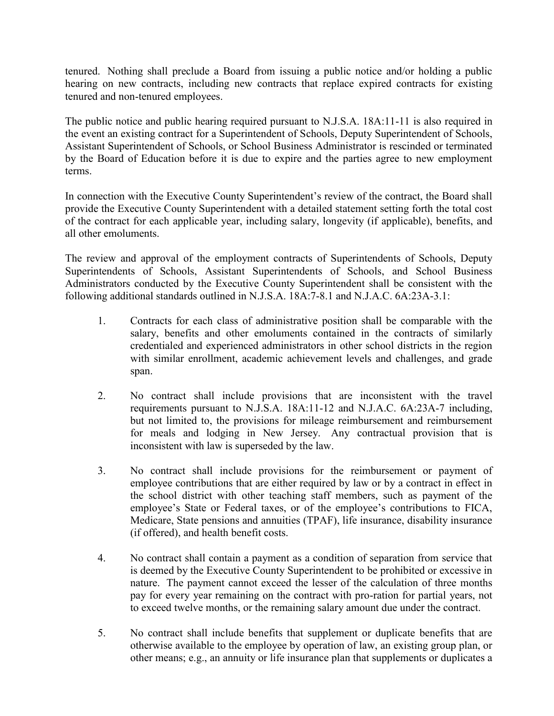tenured. Nothing shall preclude a Board from issuing a public notice and/or holding a public hearing on new contracts, including new contracts that replace expired contracts for existing tenured and non-tenured employees.

The public notice and public hearing required pursuant to N.J.S.A. 18A:11-11 is also required in the event an existing contract for a Superintendent of Schools, Deputy Superintendent of Schools, Assistant Superintendent of Schools, or School Business Administrator is rescinded or terminated by the Board of Education before it is due to expire and the parties agree to new employment terms.

In connection with the Executive County Superintendent's review of the contract, the Board shall provide the Executive County Superintendent with a detailed statement setting forth the total cost of the contract for each applicable year, including salary, longevity (if applicable), benefits, and all other emoluments.

The review and approval of the employment contracts of Superintendents of Schools, Deputy Superintendents of Schools, Assistant Superintendents of Schools, and School Business Administrators conducted by the Executive County Superintendent shall be consistent with the following additional standards outlined in N.J.S.A. 18A:7-8.1 and N.J.A.C. 6A:23A-3.1:

- 1. Contracts for each class of administrative position shall be comparable with the salary, benefits and other emoluments contained in the contracts of similarly credentialed and experienced administrators in other school districts in the region with similar enrollment, academic achievement levels and challenges, and grade span.
- 2. No contract shall include provisions that are inconsistent with the travel requirements pursuant to N.J.S.A. 18A:11-12 and N.J.A.C. 6A:23A-7 including, but not limited to, the provisions for mileage reimbursement and reimbursement for meals and lodging in New Jersey. Any contractual provision that is inconsistent with law is superseded by the law.
- 3. No contract shall include provisions for the reimbursement or payment of employee contributions that are either required by law or by a contract in effect in the school district with other teaching staff members, such as payment of the employee's State or Federal taxes, or of the employee's contributions to FICA, Medicare, State pensions and annuities (TPAF), life insurance, disability insurance (if offered), and health benefit costs.
- 4. No contract shall contain a payment as a condition of separation from service that is deemed by the Executive County Superintendent to be prohibited or excessive in nature. The payment cannot exceed the lesser of the calculation of three months pay for every year remaining on the contract with pro-ration for partial years, not to exceed twelve months, or the remaining salary amount due under the contract.
- 5. No contract shall include benefits that supplement or duplicate benefits that are otherwise available to the employee by operation of law, an existing group plan, or other means; e.g., an annuity or life insurance plan that supplements or duplicates a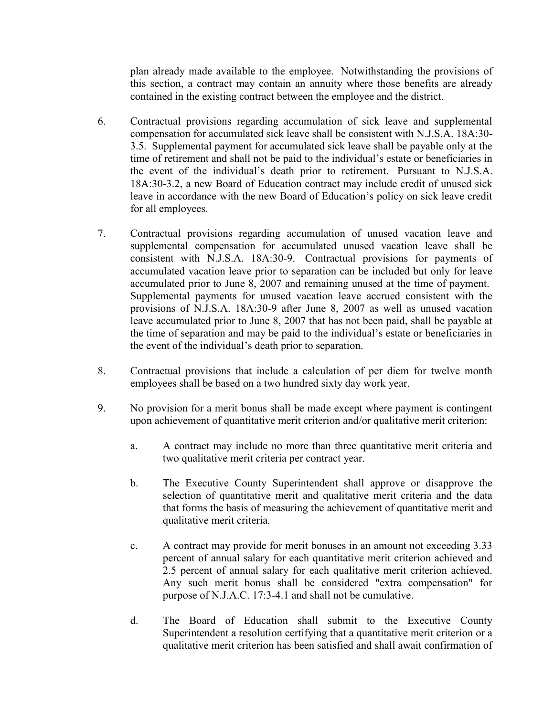plan already made available to the employee. Notwithstanding the provisions of this section, a contract may contain an annuity where those benefits are already contained in the existing contract between the employee and the district.

- 6. Contractual provisions regarding accumulation of sick leave and supplemental compensation for accumulated sick leave shall be consistent with N.J.S.A. 18A:30- 3.5. Supplemental payment for accumulated sick leave shall be payable only at the time of retirement and shall not be paid to the individual's estate or beneficiaries in the event of the individual's death prior to retirement. Pursuant to N.J.S.A. 18A:30-3.2, a new Board of Education contract may include credit of unused sick leave in accordance with the new Board of Education's policy on sick leave credit for all employees.
- 7. Contractual provisions regarding accumulation of unused vacation leave and supplemental compensation for accumulated unused vacation leave shall be consistent with N.J.S.A. 18A:30-9. Contractual provisions for payments of accumulated vacation leave prior to separation can be included but only for leave accumulated prior to June 8, 2007 and remaining unused at the time of payment. Supplemental payments for unused vacation leave accrued consistent with the provisions of N.J.S.A. 18A:30-9 after June 8, 2007 as well as unused vacation leave accumulated prior to June 8, 2007 that has not been paid, shall be payable at the time of separation and may be paid to the individual's estate or beneficiaries in the event of the individual's death prior to separation.
- 8. Contractual provisions that include a calculation of per diem for twelve month employees shall be based on a two hundred sixty day work year.
- 9. No provision for a merit bonus shall be made except where payment is contingent upon achievement of quantitative merit criterion and/or qualitative merit criterion:
	- a. A contract may include no more than three quantitative merit criteria and two qualitative merit criteria per contract year.
	- b. The Executive County Superintendent shall approve or disapprove the selection of quantitative merit and qualitative merit criteria and the data that forms the basis of measuring the achievement of quantitative merit and qualitative merit criteria.
	- c. A contract may provide for merit bonuses in an amount not exceeding 3.33 percent of annual salary for each quantitative merit criterion achieved and 2.5 percent of annual salary for each qualitative merit criterion achieved. Any such merit bonus shall be considered "extra compensation" for purpose of N.J.A.C. 17:3-4.1 and shall not be cumulative.
	- d. The Board of Education shall submit to the Executive County Superintendent a resolution certifying that a quantitative merit criterion or a qualitative merit criterion has been satisfied and shall await confirmation of